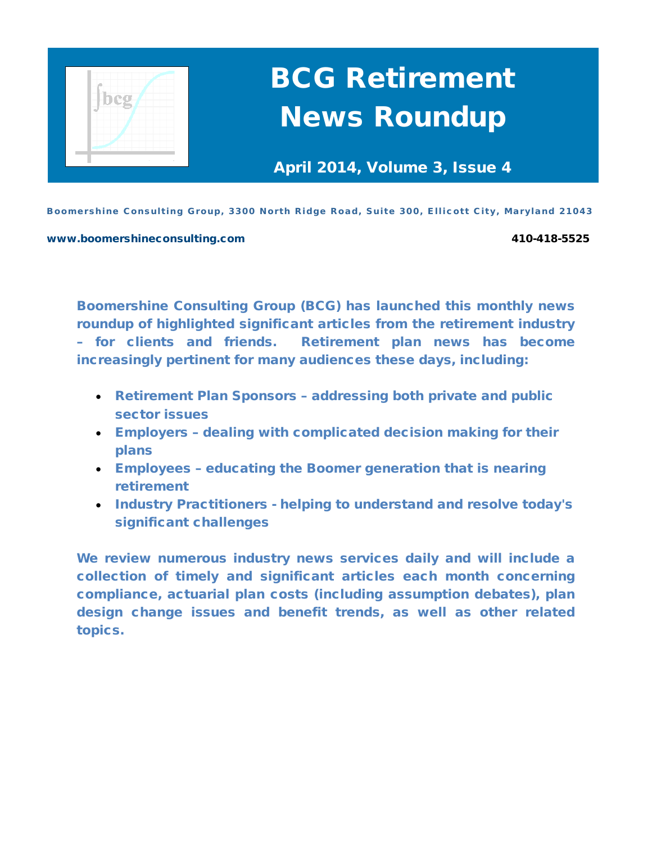

# BCG Retirement News Roundup

April 2014, Volume 3, Issue 4

Boomershine Consulting Group, 3300 North Ridge Road, Suite 300, Ellicott City, Maryland 21043

[www.boomershineconsulting.com](http://www.boomershineconsulting.com/) 410-418-5525

Boomershine Consulting Group (BCG) has launched this monthly news roundup of highlighted significant articles from the retirement industry – for clients and friends. Retirement plan news has become increasingly pertinent for many audiences these days, including:

- Retirement Plan Sponsors addressing both private and public sector issues
- Employers dealing with complicated decision making for their plans
- Employees educating the Boomer generation that is nearing retirement
- Industry Practitioners helping to understand and resolve today's significant challenges

We review numerous industry news services daily and will include a collection of timely and significant articles each month concerning compliance, actuarial plan costs (including assumption debates), plan design change issues and benefit trends, as well as other related topics.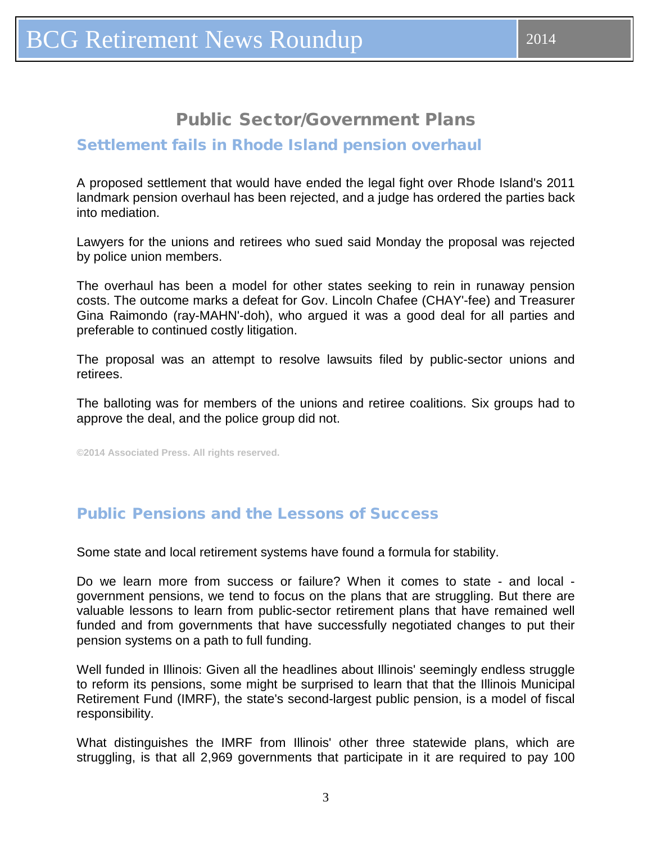# Public Sector/Government Plans

#### <span id="page-2-0"></span>Settlement fails in Rhode Island pension overhaul

A proposed settlement that would have ended the legal fight over Rhode Island's 2011 landmark pension overhaul has been rejected, and a judge has ordered the parties back into mediation.

Lawyers for the unions and retirees who sued said Monday the proposal was rejected by police union members.

The overhaul has been a model for other states seeking to rein in runaway pension costs. The outcome marks a defeat for Gov. Lincoln Chafee (CHAY'-fee) and Treasurer Gina Raimondo (ray-MAHN'-doh), who argued it was a good deal for all parties and preferable to continued costly litigation.

The proposal was an attempt to resolve lawsuits filed by public-sector unions and retirees.

The balloting was for members of the unions and retiree coalitions. Six groups had to approve the deal, and the police group did not.

**©2014 Associated Press. All rights reserved.**

### Public Pensions and the Lessons of Success

Some state and local retirement systems have found a formula for stability.

Do we learn more from success or failure? When it comes to state - and local government pensions, we tend to focus on the plans that are struggling. But there are valuable lessons to learn from public-sector retirement plans that have remained well funded and from governments that have successfully negotiated changes to put their pension systems on a path to full funding.

Well funded in Illinois: Given all the headlines about Illinois' seemingly endless struggle to reform its pensions, some might be surprised to learn that that the Illinois Municipal Retirement Fund (IMRF), the state's second-largest public pension, is a model of fiscal responsibility.

What distinguishes the IMRF from Illinois' other three statewide plans, which are struggling, is that all 2,969 governments that participate in it are required to pay 100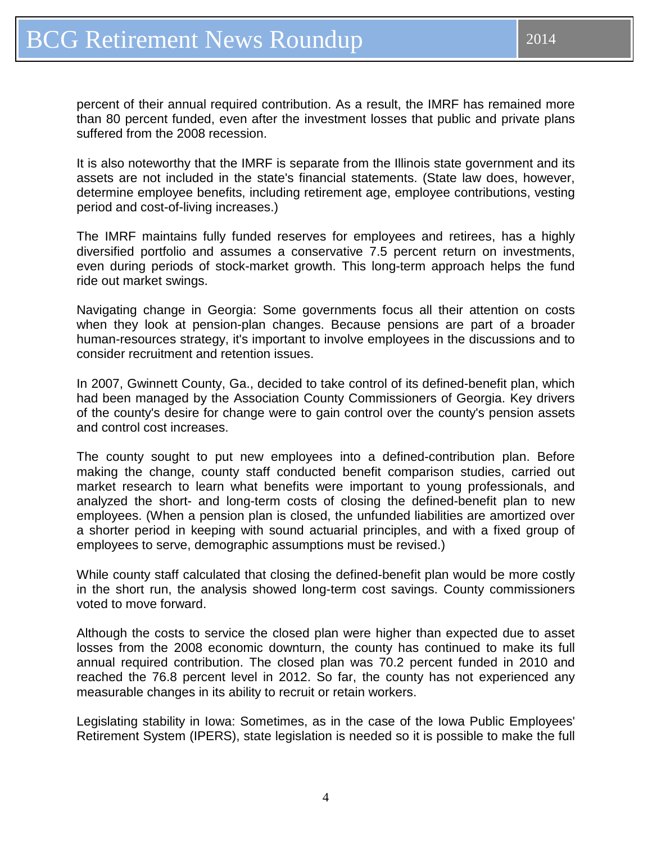percent of their annual required contribution. As a result, the IMRF has remained more than 80 percent funded, even after the investment losses that public and private plans suffered from the 2008 recession.

It is also noteworthy that the IMRF is separate from the Illinois state government and its assets are not included in the state's financial statements. (State law does, however, determine employee benefits, including retirement age, employee contributions, vesting period and cost-of-living increases.)

The IMRF maintains fully funded reserves for employees and retirees, has a highly diversified portfolio and assumes a conservative 7.5 percent return on investments, even during periods of stock-market growth. This long-term approach helps the fund ride out market swings.

Navigating change in Georgia: Some governments focus all their attention on costs when they look at pension-plan changes. Because pensions are part of a broader human-resources strategy, it's important to involve employees in the discussions and to consider recruitment and retention issues.

In 2007, Gwinnett County, Ga., decided to take control of its defined-benefit plan, which had been managed by the Association County Commissioners of Georgia. Key drivers of the county's desire for change were to gain control over the county's pension assets and control cost increases.

The county sought to put new employees into a defined-contribution plan. Before making the change, county staff conducted benefit comparison studies, carried out market research to learn what benefits were important to young professionals, and analyzed the short- and long-term costs of closing the defined-benefit plan to new employees. (When a pension plan is closed, the unfunded liabilities are amortized over a shorter period in keeping with sound actuarial principles, and with a fixed group of employees to serve, demographic assumptions must be revised.)

While county staff calculated that closing the defined-benefit plan would be more costly in the short run, the analysis showed long-term cost savings. County commissioners voted to move forward.

Although the costs to service the closed plan were higher than expected due to asset losses from the 2008 economic downturn, the county has continued to make its full annual required contribution. The closed plan was 70.2 percent funded in 2010 and reached the 76.8 percent level in 2012. So far, the county has not experienced any measurable changes in its ability to recruit or retain workers.

Legislating stability in Iowa: Sometimes, as in the case of the Iowa Public Employees' Retirement System (IPERS), state legislation is needed so it is possible to make the full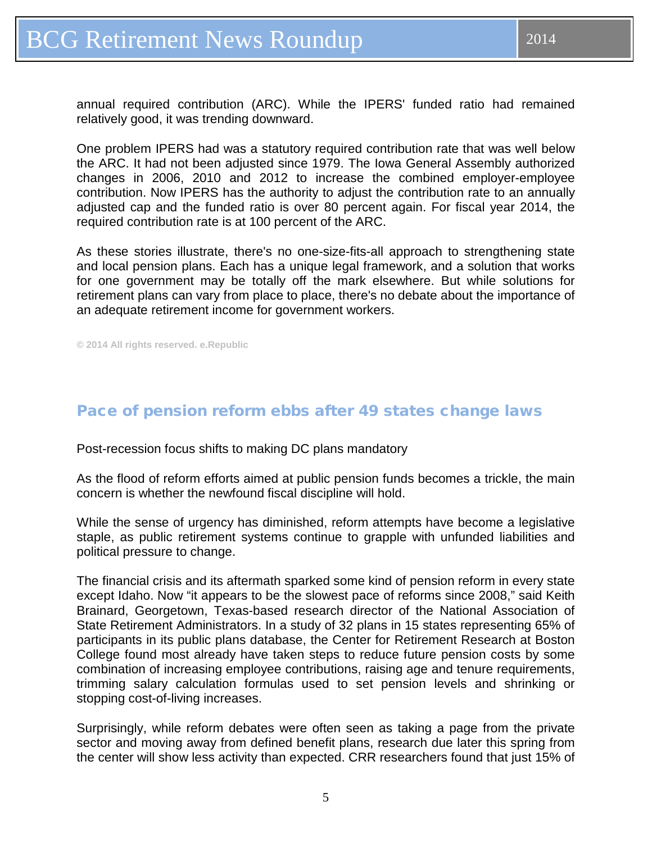<span id="page-4-0"></span>annual required contribution (ARC). While the IPERS' funded ratio had remained relatively good, it was trending downward.

One problem IPERS had was a statutory required contribution rate that was well below the ARC. It had not been adjusted since 1979. The Iowa General Assembly authorized changes in 2006, 2010 and 2012 to increase the combined employer-employee contribution. Now IPERS has the authority to adjust the contribution rate to an annually adjusted cap and the funded ratio is over 80 percent again. For fiscal year 2014, the required contribution rate is at 100 percent of the ARC.

As these stories illustrate, there's no one-size-fits-all approach to strengthening state and local pension plans. Each has a unique legal framework, and a solution that works for one government may be totally off the mark elsewhere. But while solutions for retirement plans can vary from place to place, there's no debate about the importance of an adequate retirement income for government workers.

**© 2014 All rights reserved. e.Republic**

### Pace of pension reform ebbs after 49 states change laws

Post-recession focus shifts to making DC plans mandatory

As the flood of reform efforts aimed at public pension funds becomes a trickle, the main concern is whether the newfound fiscal discipline will hold.

While the sense of urgency has diminished, reform attempts have become a legislative staple, as public retirement systems continue to grapple with unfunded liabilities and political pressure to change.

The financial crisis and its aftermath sparked some kind of pension reform in every state except Idaho. Now "it appears to be the slowest pace of reforms since 2008," said Keith Brainard, Georgetown, Texas-based research director of the National Association of State Retirement Administrators. In a study of 32 plans in 15 states representing 65% of participants in its public plans database, the Center for Retirement Research at Boston College found most already have taken steps to reduce future pension costs by some combination of increasing employee contributions, raising age and tenure requirements, trimming salary calculation formulas used to set pension levels and shrinking or stopping cost-of-living increases.

Surprisingly, while reform debates were often seen as taking a page from the private sector and moving away from defined benefit plans, research due later this spring from the center will show less activity than expected. CRR researchers found that just 15% of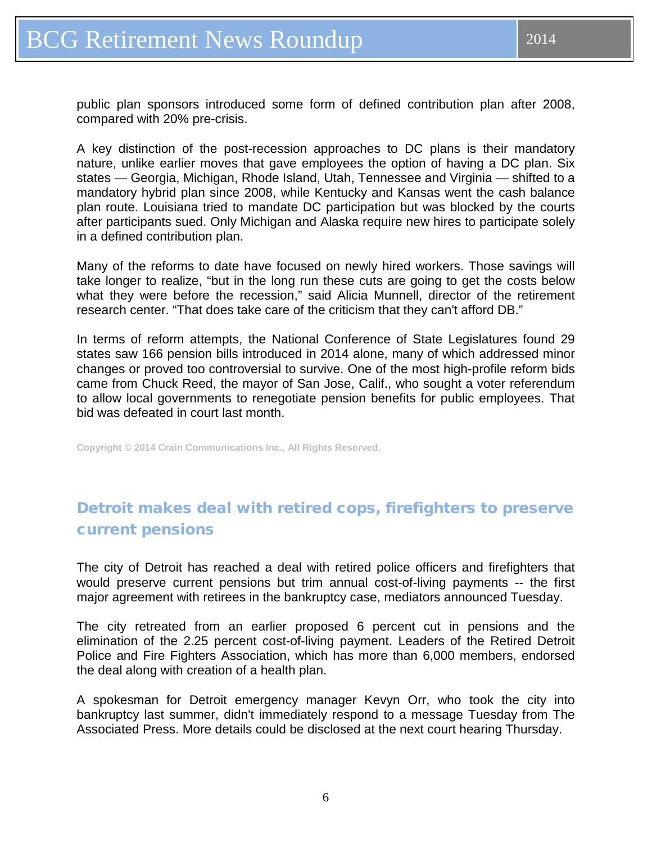<span id="page-5-0"></span>A key distinction of the post-recession approaches to DC plans is their mandatory nature, unlike earlier moves that gave employees the option of having a DC plan. Six states — Georgia, Michigan, Rhode Island, Utah, Tennessee and Virginia — shifted to a mandatory hybrid plan since 2008, while Kentucky and Kansas went the cash balance plan route. Louisiana tried to mandate DC participation but was blocked by the courts after participants sued. Only Michigan and Alaska require new hires to participate solely in a defined contribution plan.

Many of the reforms to date have focused on newly hired workers. Those savings will take longer to realize, "but in the long run these cuts are going to get the costs below what they were before the recession," said Alicia Munnell, director of the retirement research center. "That does take care of the criticism that they can't afford DB."

In terms of reform attempts, the National Conference of State Legislatures found 29 states saw 166 pension bills introduced in 2014 alone, many of which addressed minor changes or proved too controversial to survive. One of the most high-profile reform bids came from Chuck Reed, the mayor of San Jose, Calif., who sought a voter referendum to allow local governments to renegotiate pension benefits for public employees. That bid was defeated in court last month.

**Copyright © 2014 Crain Communications Inc., All Rights Reserved.** 

# Detroit makes deal with retired cops, firefighters to preserve current pensions

The city of Detroit has reached a deal with retired police officers and firefighters that would preserve current pensions but trim annual cost-of-living payments -- the first major agreement with retirees in the bankruptcy case, mediators announced Tuesday.

The city retreated from an earlier proposed 6 percent cut in pensions and the elimination of the 2.25 percent cost-of-living payment. Leaders of the Retired Detroit Police and Fire Fighters Association, which has more than 6,000 members, endorsed the deal along with creation of a health plan.

A spokesman for Detroit emergency manager Kevyn Orr, who took the city into bankruptcy last summer, didn't immediately respond to a message Tuesday from The Associated Press. More details could be disclosed at the next court hearing Thursday.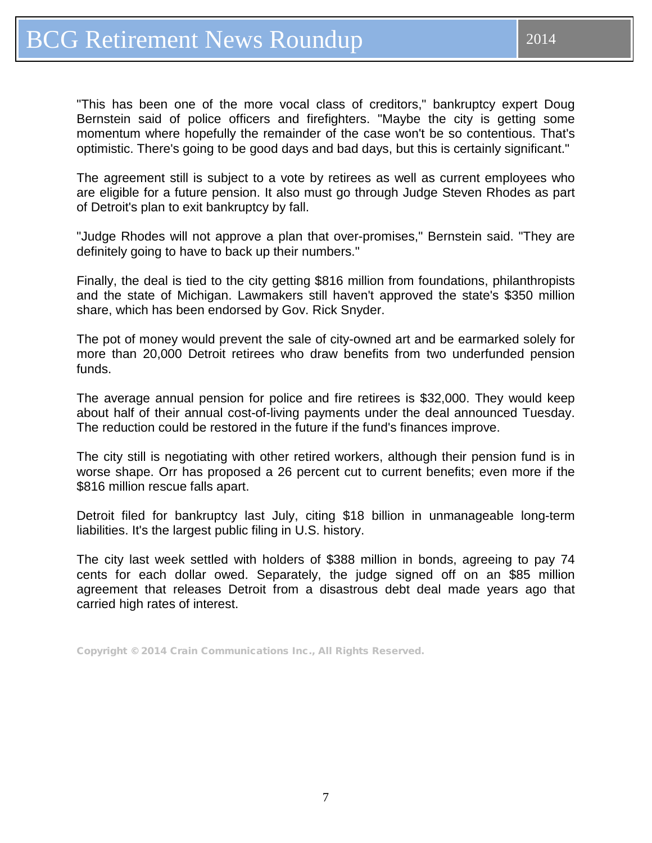"This has been one of the more vocal class of creditors," bankruptcy expert Doug Bernstein said of police officers and firefighters. "Maybe the city is getting some momentum where hopefully the remainder of the case won't be so contentious. That's optimistic. There's going to be good days and bad days, but this is certainly significant."

The agreement still is subject to a vote by retirees as well as current employees who are eligible for a future pension. It also must go through Judge Steven Rhodes as part of Detroit's plan to exit bankruptcy by fall.

"Judge Rhodes will not approve a plan that over-promises," Bernstein said. "They are definitely going to have to back up their numbers."

Finally, the deal is tied to the city getting \$816 million from foundations, philanthropists and the state of Michigan. Lawmakers still haven't approved the state's \$350 million share, which has been endorsed by Gov. Rick Snyder.

The pot of money would prevent the sale of city-owned art and be earmarked solely for more than 20,000 Detroit retirees who draw benefits from two underfunded pension funds.

The average annual pension for police and fire retirees is \$32,000. They would keep about half of their annual cost-of-living payments under the deal announced Tuesday. The reduction could be restored in the future if the fund's finances improve.

The city still is negotiating with other retired workers, although their pension fund is in worse shape. Orr has proposed a 26 percent cut to current benefits; even more if the \$816 million rescue falls apart.

Detroit filed for bankruptcy last July, citing \$18 billion in unmanageable long-term liabilities. It's the largest public filing in U.S. history.

The city last week settled with holders of \$388 million in bonds, agreeing to pay 74 cents for each dollar owed. Separately, the judge signed off on an \$85 million agreement that releases Detroit from a disastrous debt deal made years ago that carried high rates of interest.

Copyright © 2014 Crain Communications Inc., All Rights Reserved.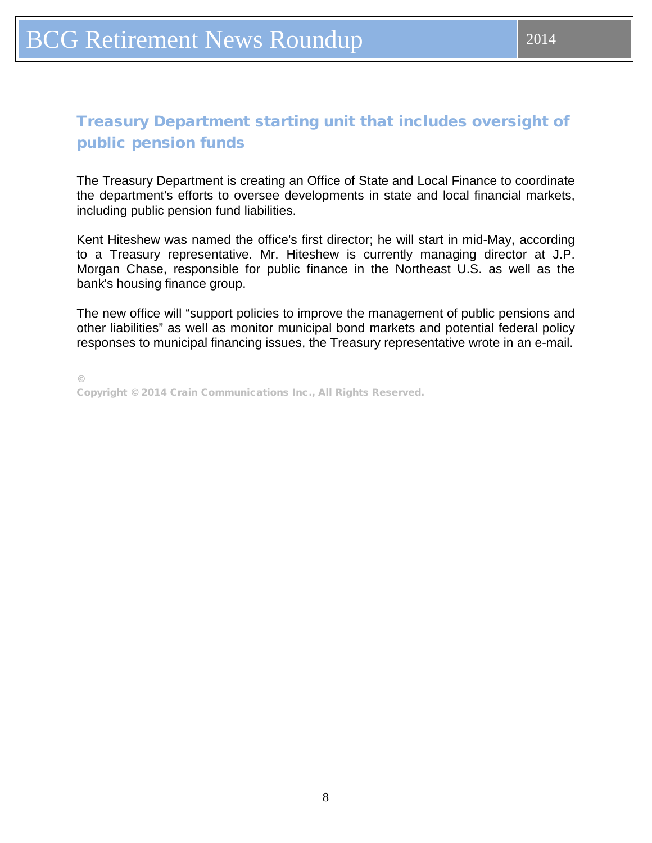## <span id="page-7-0"></span>Treasury Department starting unit that includes oversight of public pension funds

The Treasury Department is creating an Office of State and Local Finance to coordinate the department's efforts to oversee developments in state and local financial markets, including public pension fund liabilities.

Kent Hiteshew was named the office's first director; he will start in mid-May, according to a Treasury representative. Mr. Hiteshew is currently managing director at J.P. Morgan Chase, responsible for public finance in the Northeast U.S. as well as the bank's housing finance group.

The new office will "support policies to improve the management of public pensions and other liabilities" as well as monitor municipal bond markets and potential federal policy responses to municipal financing issues, the Treasury representative wrote in an e-mail.

©

Copyright © 2014 Crain Communications Inc., All Rights Reserved.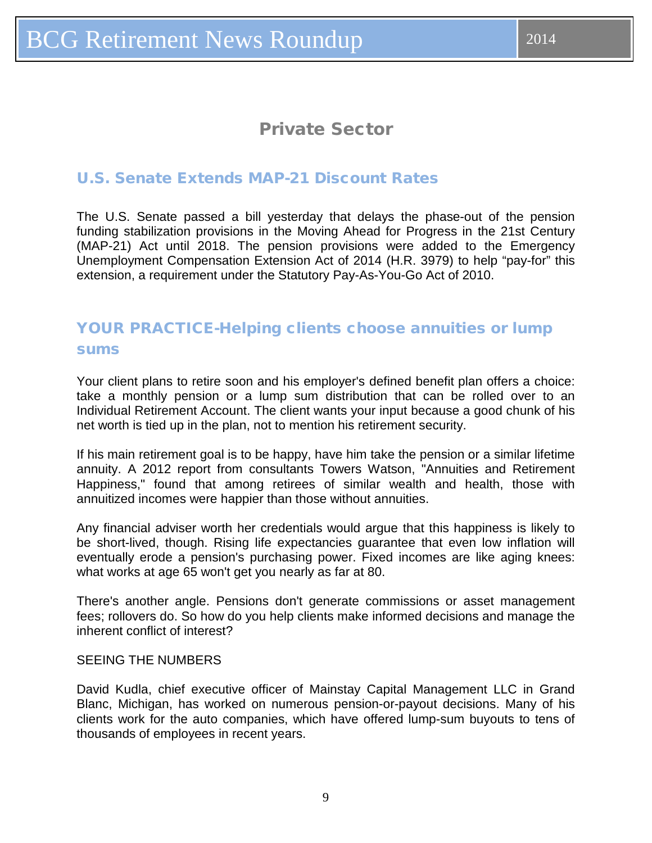# Private Sector

## <span id="page-8-0"></span>U.S. Senate Extends MAP-21 Discount Rates

The U.S. Senate passed a bill yesterday that delays the phase-out of the pension funding stabilization provisions in the Moving Ahead for Progress in the 21st Century (MAP-21) Act until 2018. The pension provisions were added to the Emergency Unemployment Compensation Extension Act of 2014 (H.R. 3979) to help "pay-for" this extension, a requirement under the Statutory Pay-As-You-Go Act of 2010.

## YOUR PRACTICE-Helping clients choose annuities or lump sums

Your client plans to retire soon and his employer's defined benefit plan offers a choice: take a monthly pension or a lump sum distribution that can be rolled over to an Individual Retirement Account. The client wants your input because a good chunk of his net worth is tied up in the plan, not to mention his retirement security.

If his main retirement goal is to be happy, have him take the pension or a similar lifetime annuity. A 2012 report from consultants Towers Watson, "Annuities and Retirement Happiness," found that among retirees of similar wealth and health, those with annuitized incomes were happier than those without annuities.

Any financial adviser worth her credentials would argue that this happiness is likely to be short-lived, though. Rising life expectancies guarantee that even low inflation will eventually erode a pension's purchasing power. Fixed incomes are like aging knees: what works at age 65 won't get you nearly as far at 80.

There's another angle. Pensions don't generate commissions or asset management fees; rollovers do. So how do you help clients make informed decisions and manage the inherent conflict of interest?

#### SEEING THE NUMBERS

David Kudla, chief executive officer of Mainstay Capital Management LLC in Grand Blanc, Michigan, has worked on numerous pension-or-payout decisions. Many of his clients work for the auto companies, which have offered lump-sum buyouts to tens of thousands of employees in recent years.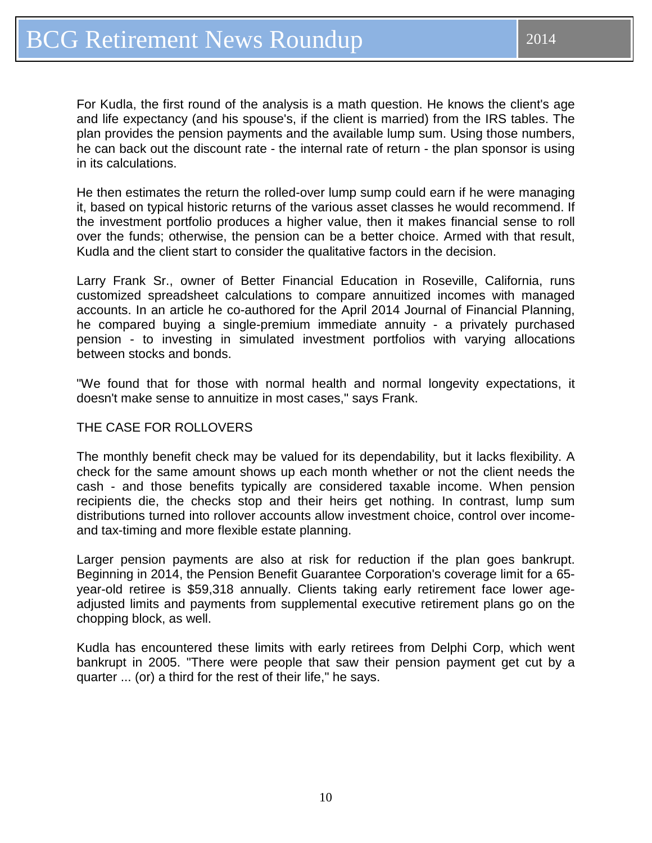For Kudla, the first round of the analysis is a math question. He knows the client's age and life expectancy (and his spouse's, if the client is married) from the IRS tables. The plan provides the pension payments and the available lump sum. Using those numbers, he can back out the discount rate - the internal rate of return - the plan sponsor is using in its calculations.

He then estimates the return the rolled-over lump sump could earn if he were managing it, based on typical historic returns of the various asset classes he would recommend. If the investment portfolio produces a higher value, then it makes financial sense to roll over the funds; otherwise, the pension can be a better choice. Armed with that result, Kudla and the client start to consider the qualitative factors in the decision.

Larry Frank Sr., owner of Better Financial Education in Roseville, California, runs customized spreadsheet calculations to compare annuitized incomes with managed accounts. In an article he co-authored for the April 2014 Journal of Financial Planning, he compared buying a single-premium immediate annuity - a privately purchased pension - to investing in simulated investment portfolios with varying allocations between stocks and bonds.

"We found that for those with normal health and normal longevity expectations, it doesn't make sense to annuitize in most cases," says Frank.

#### THE CASE FOR ROLLOVERS

The monthly benefit check may be valued for its dependability, but it lacks flexibility. A check for the same amount shows up each month whether or not the client needs the cash - and those benefits typically are considered taxable income. When pension recipients die, the checks stop and their heirs get nothing. In contrast, lump sum distributions turned into rollover accounts allow investment choice, control over incomeand tax-timing and more flexible estate planning.

Larger pension payments are also at risk for reduction if the plan goes bankrupt. Beginning in 2014, the Pension Benefit Guarantee Corporation's coverage limit for a 65 year-old retiree is \$59,318 annually. Clients taking early retirement face lower ageadjusted limits and payments from supplemental executive retirement plans go on the chopping block, as well.

Kudla has encountered these limits with early retirees from Delphi Corp, which went bankrupt in 2005. "There were people that saw their pension payment get cut by a quarter ... (or) a third for the rest of their life," he says.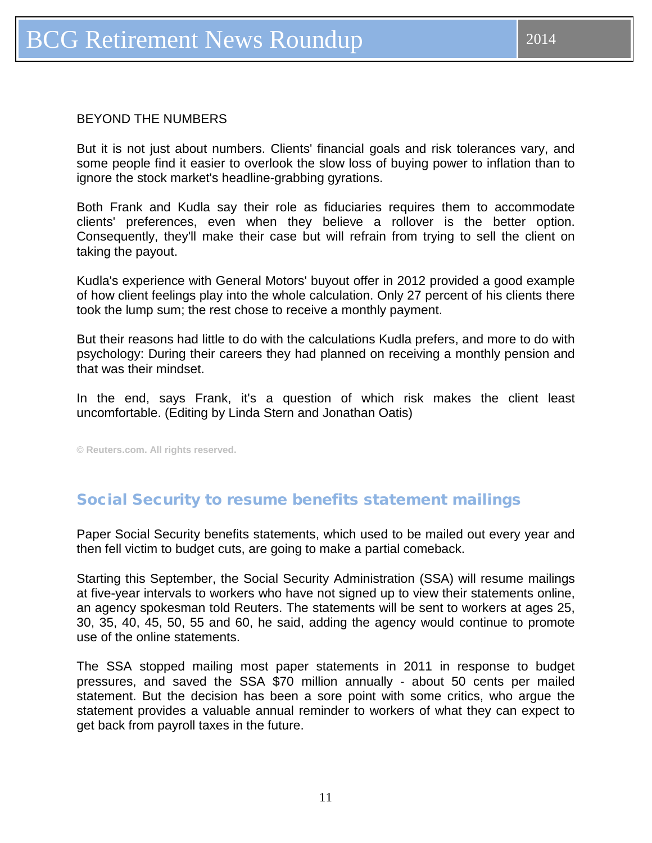#### <span id="page-10-0"></span>BEYOND THE NUMBERS

But it is not just about numbers. Clients' financial goals and risk tolerances vary, and some people find it easier to overlook the slow loss of buying power to inflation than to ignore the stock market's headline-grabbing gyrations.

Both Frank and Kudla say their role as fiduciaries requires them to accommodate clients' preferences, even when they believe a rollover is the better option. Consequently, they'll make their case but will refrain from trying to sell the client on taking the payout.

Kudla's experience with General Motors' buyout offer in 2012 provided a good example of how client feelings play into the whole calculation. Only 27 percent of his clients there took the lump sum; the rest chose to receive a monthly payment.

But their reasons had little to do with the calculations Kudla prefers, and more to do with psychology: During their careers they had planned on receiving a monthly pension and that was their mindset.

In the end, says Frank, it's a question of which risk makes the client least uncomfortable. (Editing by Linda Stern and Jonathan Oatis)

**© Reuters.com. All rights reserved.**

### Social Security to resume benefits statement mailings

Paper Social Security benefits statements, which used to be mailed out every year and then fell victim to budget cuts, are going to make a partial comeback.

Starting this September, the Social Security Administration (SSA) will resume mailings at five-year intervals to workers who have not signed up to view their statements online, an agency spokesman told Reuters. The statements will be sent to workers at ages 25, 30, 35, 40, 45, 50, 55 and 60, he said, adding the agency would continue to promote use of the online statements.

The SSA stopped mailing most paper statements in 2011 in response to budget pressures, and saved the SSA \$70 million annually - about 50 cents per mailed statement. But the decision has been a sore point with some critics, who argue the statement provides a valuable annual reminder to workers of what they can expect to get back from payroll taxes in the future.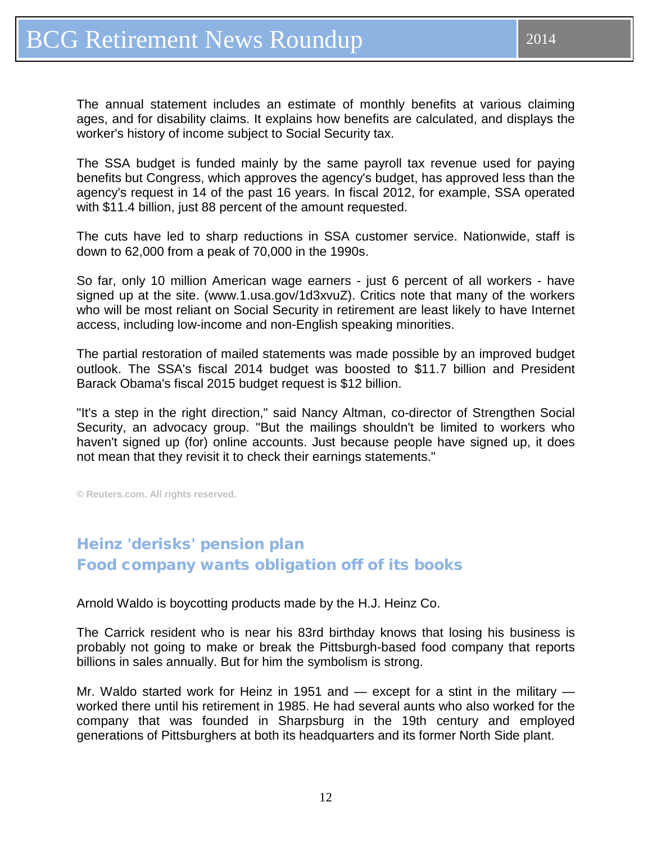<span id="page-11-0"></span>The annual statement includes an estimate of monthly benefits at various claiming ages, and for disability claims. It explains how benefits are calculated, and displays the worker's history of income subject to Social Security tax.

The SSA budget is funded mainly by the same payroll tax revenue used for paying benefits but Congress, which approves the agency's budget, has approved less than the agency's request in 14 of the past 16 years. In fiscal 2012, for example, SSA operated with \$11.4 billion, just 88 percent of the amount requested.

The cuts have led to sharp reductions in SSA customer service. Nationwide, staff is down to 62,000 from a peak of 70,000 in the 1990s.

So far, only 10 million American wage earners - just 6 percent of all workers - have signed up at the site. (www.1.usa.gov/1d3xvuZ). Critics note that many of the workers who will be most reliant on Social Security in retirement are least likely to have Internet access, including low-income and non-English speaking minorities.

The partial restoration of mailed statements was made possible by an improved budget outlook. The SSA's fiscal 2014 budget was boosted to \$11.7 billion and President Barack Obama's fiscal 2015 budget request is \$12 billion.

"It's a step in the right direction," said Nancy Altman, co-director of Strengthen Social Security, an advocacy group. "But the mailings shouldn't be limited to workers who haven't signed up (for) online accounts. Just because people have signed up, it does not mean that they revisit it to check their earnings statements."

**© Reuters.com. All rights reserved.**

# Heinz 'derisks' pension plan Food company wants obligation off of its books

Arnold Waldo is boycotting products made by the H.J. Heinz Co.

The Carrick resident who is near his 83rd birthday knows that losing his business is probably not going to make or break the Pittsburgh-based food company that reports billions in sales annually. But for him the symbolism is strong.

Mr. Waldo started work for Heinz in 1951 and — except for a stint in the military worked there until his retirement in 1985. He had several aunts who also worked for the company that was founded in Sharpsburg in the 19th century and employed generations of Pittsburghers at both its headquarters and its former North Side plant.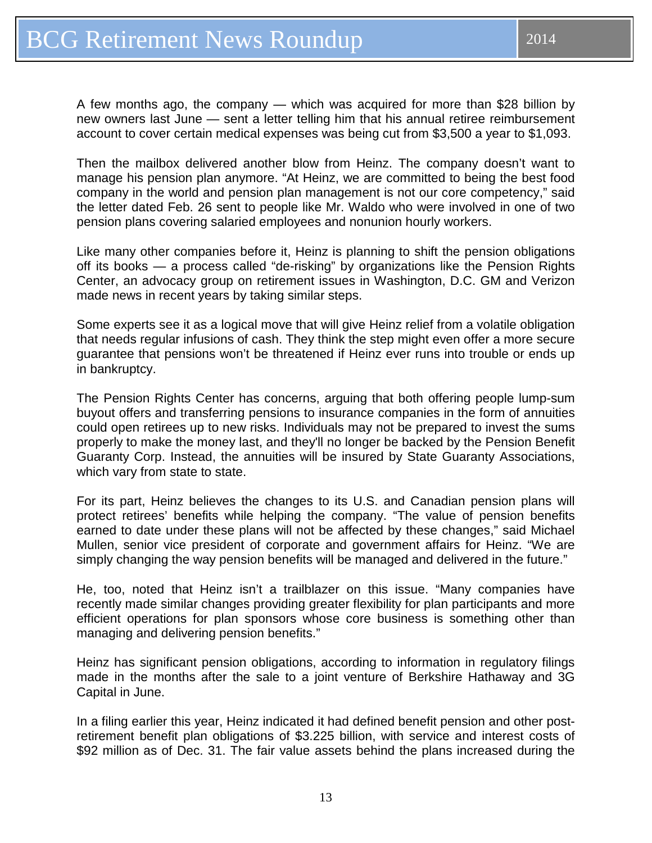A few months ago, the company — which was acquired for more than \$28 billion by new owners last June — sent a letter telling him that his annual retiree reimbursement account to cover certain medical expenses was being cut from \$3,500 a year to \$1,093.

Then the mailbox delivered another blow from Heinz. The company doesn't want to manage his pension plan anymore. "At Heinz, we are committed to being the best food company in the world and pension plan management is not our core competency," said the letter dated Feb. 26 sent to people like Mr. Waldo who were involved in one of two pension plans covering salaried employees and nonunion hourly workers.

Like many other companies before it, Heinz is planning to shift the pension obligations off its books — a process called "de-risking" by organizations like the Pension Rights Center, an advocacy group on retirement issues in Washington, D.C. GM and Verizon made news in recent years by taking similar steps.

Some experts see it as a logical move that will give Heinz relief from a volatile obligation that needs regular infusions of cash. They think the step might even offer a more secure guarantee that pensions won't be threatened if Heinz ever runs into trouble or ends up in bankruptcy.

The Pension Rights Center has concerns, arguing that both offering people lump-sum buyout offers and transferring pensions to insurance companies in the form of annuities could open retirees up to new risks. Individuals may not be prepared to invest the sums properly to make the money last, and they'll no longer be backed by the Pension Benefit Guaranty Corp. Instead, the annuities will be insured by State Guaranty Associations, which vary from state to state.

For its part, Heinz believes the changes to its U.S. and Canadian pension plans will protect retirees' benefits while helping the company. "The value of pension benefits earned to date under these plans will not be affected by these changes," said Michael Mullen, senior vice president of corporate and government affairs for Heinz. "We are simply changing the way pension benefits will be managed and delivered in the future."

He, too, noted that Heinz isn't a trailblazer on this issue. "Many companies have recently made similar changes providing greater flexibility for plan participants and more efficient operations for plan sponsors whose core business is something other than managing and delivering pension benefits."

Heinz has significant pension obligations, according to information in regulatory filings made in the months after the sale to a joint venture of Berkshire Hathaway and 3G Capital in June.

In a filing earlier this year, Heinz indicated it had defined benefit pension and other postretirement benefit plan obligations of \$3.225 billion, with service and interest costs of \$92 million as of Dec. 31. The fair value assets behind the plans increased during the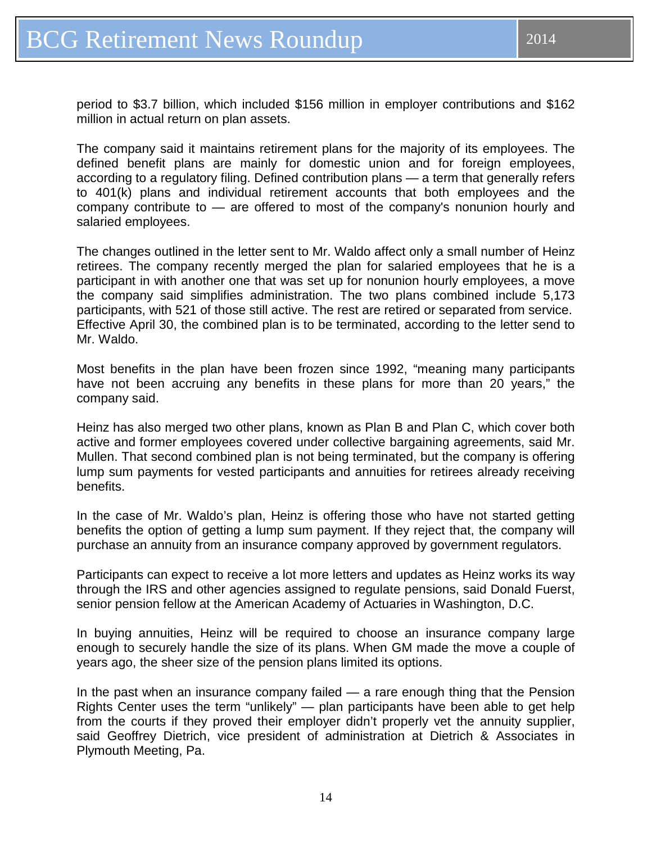period to \$3.7 billion, which included \$156 million in employer contributions and \$162 million in actual return on plan assets.

The company said it maintains retirement plans for the majority of its employees. The defined benefit plans are mainly for domestic union and for foreign employees, according to a regulatory filing. Defined contribution plans — a term that generally refers to 401(k) plans and individual retirement accounts that both employees and the company contribute to — are offered to most of the company's nonunion hourly and salaried employees.

The changes outlined in the letter sent to Mr. Waldo affect only a small number of Heinz retirees. The company recently merged the plan for salaried employees that he is a participant in with another one that was set up for nonunion hourly employees, a move the company said simplifies administration. The two plans combined include 5,173 participants, with 521 of those still active. The rest are retired or separated from service. Effective April 30, the combined plan is to be terminated, according to the letter send to Mr. Waldo.

Most benefits in the plan have been frozen since 1992, "meaning many participants have not been accruing any benefits in these plans for more than 20 years," the company said.

Heinz has also merged two other plans, known as Plan B and Plan C, which cover both active and former employees covered under collective bargaining agreements, said Mr. Mullen. That second combined plan is not being terminated, but the company is offering lump sum payments for vested participants and annuities for retirees already receiving benefits.

In the case of Mr. Waldo's plan, Heinz is offering those who have not started getting benefits the option of getting a lump sum payment. If they reject that, the company will purchase an annuity from an insurance company approved by government regulators.

Participants can expect to receive a lot more letters and updates as Heinz works its way through the IRS and other agencies assigned to regulate pensions, said Donald Fuerst, senior pension fellow at the American Academy of Actuaries in Washington, D.C.

In buying annuities, Heinz will be required to choose an insurance company large enough to securely handle the size of its plans. When GM made the move a couple of years ago, the sheer size of the pension plans limited its options.

In the past when an insurance company failed — a rare enough thing that the Pension Rights Center uses the term "unlikely" — plan participants have been able to get help from the courts if they proved their employer didn't properly vet the annuity supplier, said Geoffrey Dietrich, vice president of administration at Dietrich & Associates in Plymouth Meeting, Pa.